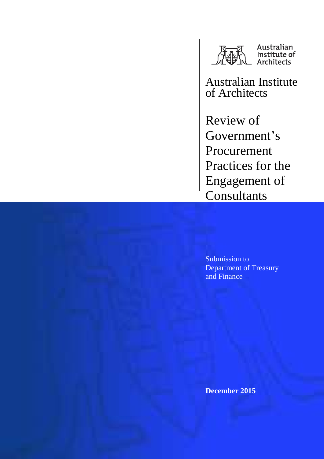

Australian Institute of Architects

Review of Government's Procurement Practices for the Engagement of **Consultants** 

Submission to Department of Treasury and Finance

**December 2015**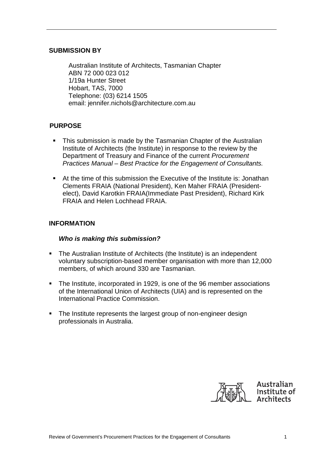## **SUBMISSION BY**

Australian Institute of Architects, Tasmanian Chapter ABN 72 000 023 012 1/19a Hunter Street Hobart, TAS, 7000 Telephone: (03) 6214 1505 email: jennifer.nichols@architecture.com.au

# **PURPOSE**

- This submission is made by the Tasmanian Chapter of the Australian Institute of Architects (the Institute) in response to the review by the Department of Treasury and Finance of the current Procurement Practices Manual – Best Practice for the Engagement of Consultants.
- At the time of this submission the Executive of the Institute is: Jonathan Clements FRAIA (National President), Ken Maher FRAIA (Presidentelect), David Karotkin FRAIA(Immediate Past President), Richard Kirk FRAIA and Helen Lochhead FRAIA.

### **INFORMATION**

## **Who is making this submission?**

- The Australian Institute of Architects (the Institute) is an independent voluntary subscription-based member organisation with more than 12,000 members, of which around 330 are Tasmanian.
- The Institute, incorporated in 1929, is one of the 96 member associations of the International Union of Architects (UIA) and is represented on the International Practice Commission.
- The Institute represents the largest group of non-engineer design professionals in Australia.

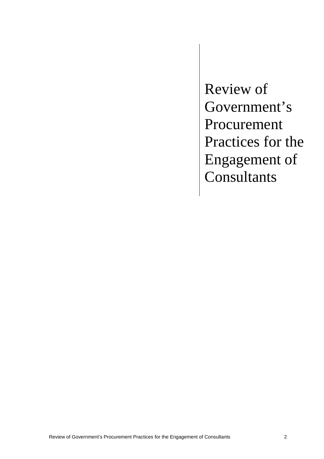Review of Government's Procurement Practices for the Engagement of **Consultants**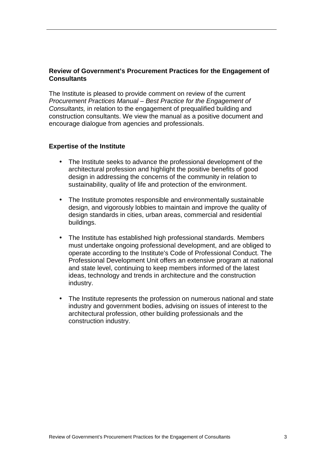## **Review of Government's Procurement Practices for the Engagement of Consultants**

The Institute is pleased to provide comment on review of the current Procurement Practices Manual – Best Practice for the Engagement of Consultants, in relation to the engagement of prequalified building and construction consultants. We view the manual as a positive document and encourage dialogue from agencies and professionals.

### **Expertise of the Institute**

- The Institute seeks to advance the professional development of the architectural profession and highlight the positive benefits of good design in addressing the concerns of the community in relation to sustainability, quality of life and protection of the environment.
- The Institute promotes responsible and environmentally sustainable design, and vigorously lobbies to maintain and improve the quality of design standards in cities, urban areas, commercial and residential buildings.
- The Institute has established high professional standards. Members must undertake ongoing professional development, and are obliged to operate according to the Institute's Code of Professional Conduct. The Professional Development Unit offers an extensive program at national and state level, continuing to keep members informed of the latest ideas, technology and trends in architecture and the construction industry.
- The Institute represents the profession on numerous national and state industry and government bodies, advising on issues of interest to the architectural profession, other building professionals and the construction industry.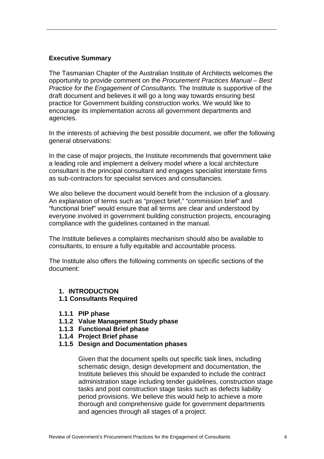## **Executive Summary**

The Tasmanian Chapter of the Australian Institute of Architects welcomes the opportunity to provide comment on the Procurement Practices Manual – Best Practice for the Engagement of Consultants. The Institute is supportive of the draft document and believes it will go a long way towards ensuring best practice for Government building construction works. We would like to encourage its implementation across all government departments and agencies.

In the interests of achieving the best possible document, we offer the following general observations:

In the case of major projects, the Institute recommends that government take a leading role and implement a delivery model where a local architecture consultant is the principal consultant and engages specialist interstate firms as sub-contractors for specialist services and consultancies.

We also believe the document would benefit from the inclusion of a glossary. An explanation of terms such as "project brief," "commission brief" and "functional brief" would ensure that all terms are clear and understood by everyone involved in government building construction projects, encouraging compliance with the guidelines contained in the manual.

The Institute believes a complaints mechanism should also be available to consultants, to ensure a fully equitable and accountable process.

The Institute also offers the following comments on specific sections of the document:

- **1. INTRODUCTION**
- **1.1 Consultants Required**
- **1.1.1 PIP phase**
- **1.1.2 Value Management Study phase**
- **1.1.3 Functional Brief phase**
- **1.1.4 Project Brief phase**
- **1.1.5 Design and Documentation phases**

Given that the document spells out specific task lines, including schematic design, design development and documentation, the Institute believes this should be expanded to include the contract administration stage including tender guidelines, construction stage tasks and post construction stage tasks such as defects liability period provisions. We believe this would help to achieve a more thorough and comprehensive guide for government departments and agencies through all stages of a project.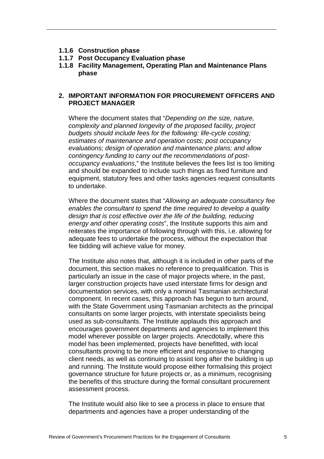- **1.1.6 Construction phase**
- **1.1.7 Post Occupancy Evaluation phase**
- **1.1.8 Facility Management, Operating Plan and Maintenance Plans phase**

## **2. IMPORTANT INFORMATION FOR PROCUREMENT OFFICERS AND PROJECT MANAGER**

Where the document states that "Depending on the size, nature, complexity and planned longevity of the proposed facility, project budgets should include fees for the following: life-cycle costing; estimates of maintenance and operation costs; post occupancy evaluations; design of operation and maintenance plans; and allow contingency funding to carry out the recommendations of postoccupancy evaluations," the Institute believes the fees list is too limiting and should be expanded to include such things as fixed furniture and equipment, statutory fees and other tasks agencies request consultants to undertake.

Where the document states that "Allowing an adequate consultancy fee enables the consultant to spend the time required to develop a quality design that is cost effective over the life of the building, reducing energy and other operating costs", the Institute supports this aim and reiterates the importance of following through with this, i.e. allowing for adequate fees to undertake the process, without the expectation that fee bidding will achieve value for money.

The Institute also notes that, although it is included in other parts of the document, this section makes no reference to prequalification. This is particularly an issue in the case of major projects where, in the past, larger construction projects have used interstate firms for design and documentation services, with only a nominal Tasmanian architectural component. In recent cases, this approach has begun to turn around, with the State Government using Tasmanian architects as the principal consultants on some larger projects, with interstate specialists being used as sub-consultants. The Institute applauds this approach and encourages government departments and agencies to implement this model wherever possible on larger projects. Anecdotally, where this model has been implemented, projects have benefitted, with local consultants proving to be more efficient and responsive to changing client needs, as well as continuing to assist long after the building is up and running. The Institute would propose either formalising this project governance structure for future projects or, as a minimum, recognising the benefits of this structure during the formal consultant procurement assessment process.

The Institute would also like to see a process in place to ensure that departments and agencies have a proper understanding of the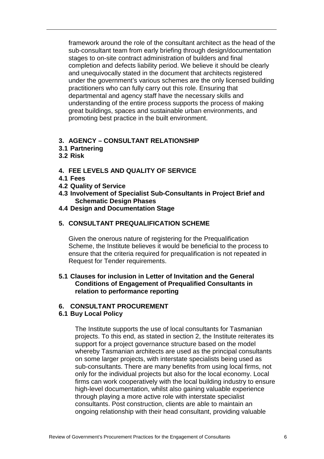framework around the role of the consultant architect as the head of the sub-consultant team from early briefing through design/documentation stages to on-site contract administration of builders and final completion and defects liability period. We believe it should be clearly and unequivocally stated in the document that architects registered under the government's various schemes are the only licensed building practitioners who can fully carry out this role. Ensuring that departmental and agency staff have the necessary skills and understanding of the entire process supports the process of making great buildings, spaces and sustainable urban environments, and promoting best practice in the built environment.

## **3. AGENCY – CONSULTANT RELATIONSHIP**

- **3.1 Partnering**
- **3.2 Risk**

## **4. FEE LEVELS AND QUALITY OF SERVICE**

- **4.1 Fees**
- **4.2 Quality of Service**
- **4.3 Involvement of Specialist Sub-Consultants in Project Brief and Schematic Design Phases**
- **4.4 Design and Documentation Stage**

### **5. CONSULTANT PREQUALIFICATION SCHEME**

Given the onerous nature of registering for the Prequalification Scheme, the Institute believes it would be beneficial to the process to ensure that the criteria required for prequalification is not repeated in Request for Tender requirements.

### **5.1 Clauses for inclusion in Letter of Invitation and the General Conditions of Engagement of Prequalified Consultants in relation to performance reporting**

## **6. CONSULTANT PROCUREMENT**

#### **6.1 Buy Local Policy**

The Institute supports the use of local consultants for Tasmanian projects. To this end, as stated in section 2, the Institute reiterates its support for a project governance structure based on the model whereby Tasmanian architects are used as the principal consultants on some larger projects, with interstate specialists being used as sub-consultants. There are many benefits from using local firms, not only for the individual projects but also for the local economy. Local firms can work cooperatively with the local building industry to ensure high-level documentation, whilst also gaining valuable experience through playing a more active role with interstate specialist consultants. Post construction, clients are able to maintain an ongoing relationship with their head consultant, providing valuable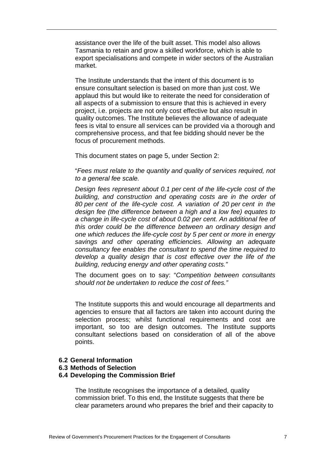assistance over the life of the built asset. This model also allows Tasmania to retain and grow a skilled workforce, which is able to export specialisations and compete in wider sectors of the Australian market.

The Institute understands that the intent of this document is to ensure consultant selection is based on more than just cost. We applaud this but would like to reiterate the need for consideration of all aspects of a submission to ensure that this is achieved in every project, i.e. projects are not only cost effective but also result in quality outcomes. The Institute believes the allowance of adequate fees is vital to ensure all services can be provided via a thorough and comprehensive process, and that fee bidding should never be the focus of procurement methods.

This document states on page 5, under Section 2:

"Fees must relate to the quantity and quality of services required, not to a general fee scale.

Design fees represent about 0.1 per cent of the life-cycle cost of the building, and construction and operating costs are in the order of 80 per cent of the life-cycle cost. A variation of 20 per cent in the design fee (the difference between a high and a low fee) equates to a change in life-cycle cost of about 0.02 per cent. An additional fee of this order could be the difference between an ordinary design and one which reduces the life-cycle cost by 5 per cent or more in energy savings and other operating efficiencies. Allowing an adequate consultancy fee enables the consultant to spend the time required to develop a quality design that is cost effective over the life of the building, reducing energy and other operating costs."

The document goes on to say: "Competition between consultants should not be undertaken to reduce the cost of fees."

The Institute supports this and would encourage all departments and agencies to ensure that all factors are taken into account during the selection process; whilst functional requirements and cost are important, so too are design outcomes. The Institute supports consultant selections based on consideration of all of the above points.

#### **6.2 General Information**

#### **6.3 Methods of Selection**

## **6.4 Developing the Commission Brief**

The Institute recognises the importance of a detailed, quality commission brief. To this end, the Institute suggests that there be clear parameters around who prepares the brief and their capacity to